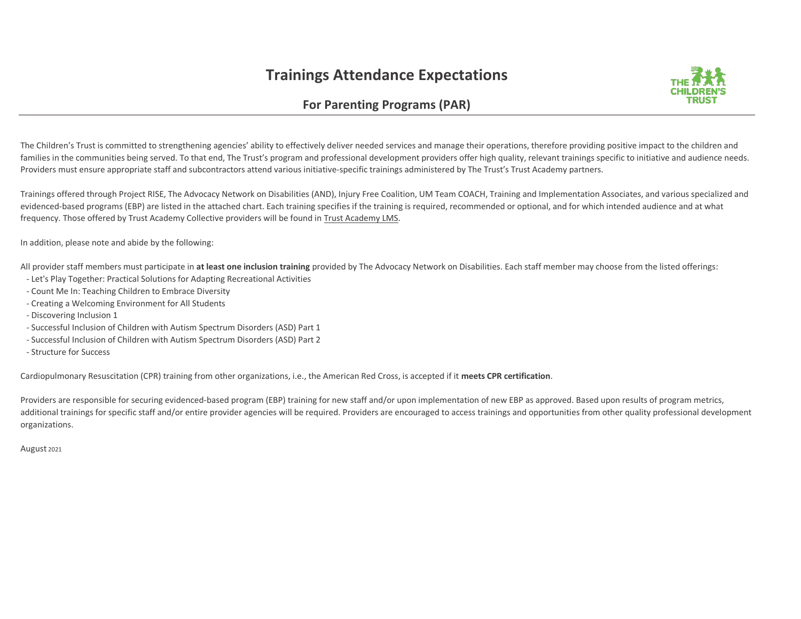## **Trainings Attendance Expectations**



## **For Parenting Programs (PAR)**

The Children's Trust is committed to strengthening agencies' ability to effectively deliver needed services and manage their operations, therefore providing positive impact to the children and families in the communities being served. To that end, The Trust's program and professional development providers offer high quality, relevant trainings specific to initiative and audience needs. Providers must ensure appropriate staff and subcontractors attend various initiative-specific trainings administered by The Trust's Trust Academy partners.

Trainings offered through Project RISE, The Advocacy Network on Disabilities (AND), Injury Free Coalition, UM Team COACH, Training and Implementation Associates, and various specialized and evidenced-based programs (EBP) are listed in the attached chart. Each training specifies if the training is required, recommended or optional, and for which intended audience and at what frequency. Those offered by Trust Academy Collective providers will be found in Trust Academy LMS.

In addition, please note and abide by the following:

All provider staff members must participate in **at least one inclusion training** provided by The Advocacy Network on Disabilities. Each staff member may choose from the listed offerings:

- Let's Play Together: Practical Solutions for Adapting Recreational Activities
- Count Me In: Teaching Children to Embrace Diversity
- Creating a Welcoming Environment for All Students
- Discovering Inclusion 1
- Successful Inclusion of Children with Autism Spectrum Disorders (ASD) Part 1
- Successful Inclusion of Children with Autism Spectrum Disorders (ASD) Part 2
- Structure for Success

Cardiopulmonary Resuscitation (CPR) training from other organizations, i.e., the American Red Cross, is accepted if it **meets CPR certification**.

Providers are responsible for securing evidenced-based program (EBP) training for new staff and/or upon implementation of new EBP as approved. Based upon results of program metrics, additional trainings for specific staff and/or entire provider agencies will be required. Providers are encouraged to access trainings and opportunities from other quality professional development organizations.

August 2021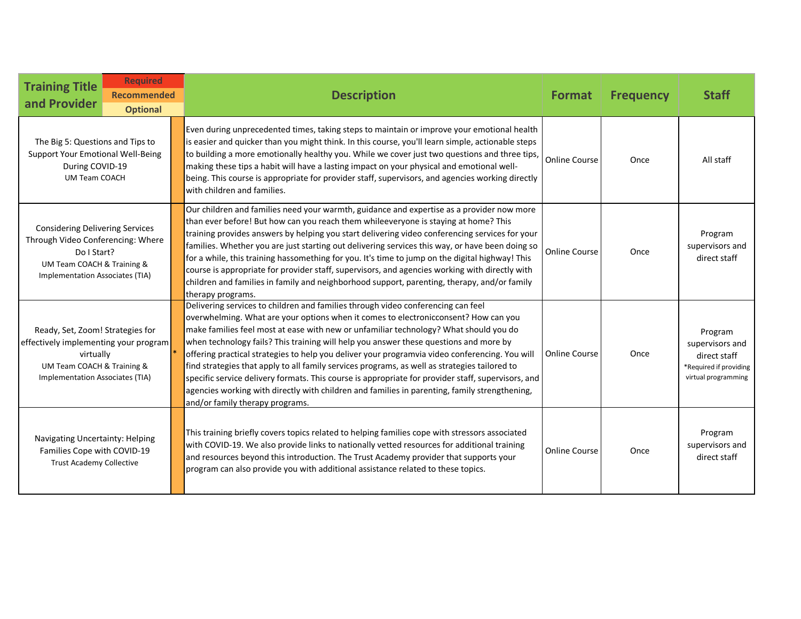| <b>Training Title</b><br>and Provider                                                                                                                       | <b>Required</b><br><b>Recommended</b><br><b>Optional</b> | <b>Description</b>                                                                                                                                                                                                                                                                                                                                                                                                                                                                                                                                                                                                                                                                                                                                                                                     | <b>Format</b>        | <b>Frequency</b> | <b>Staff</b>                                                                                |
|-------------------------------------------------------------------------------------------------------------------------------------------------------------|----------------------------------------------------------|--------------------------------------------------------------------------------------------------------------------------------------------------------------------------------------------------------------------------------------------------------------------------------------------------------------------------------------------------------------------------------------------------------------------------------------------------------------------------------------------------------------------------------------------------------------------------------------------------------------------------------------------------------------------------------------------------------------------------------------------------------------------------------------------------------|----------------------|------------------|---------------------------------------------------------------------------------------------|
| The Big 5: Questions and Tips to<br>Support Your Emotional Well-Being<br>During COVID-19<br><b>UM Team COACH</b>                                            |                                                          | Even during unprecedented times, taking steps to maintain or improve your emotional health<br>is easier and quicker than you might think. In this course, you'll learn simple, actionable steps<br>to building a more emotionally healthy you. While we cover just two questions and three tips,<br>making these tips a habit will have a lasting impact on your physical and emotional well-<br>being. This course is appropriate for provider staff, supervisors, and agencies working directly<br>with children and families.                                                                                                                                                                                                                                                                       | Online Course        | Once             | All staff                                                                                   |
| <b>Considering Delivering Services</b><br>Through Video Conferencing: Where<br>Do I Start?<br>UM Team COACH & Training &<br>Implementation Associates (TIA) |                                                          | Our children and families need your warmth, guidance and expertise as a provider now more<br>than ever before! But how can you reach them whileeveryone is staying at home? This<br>training provides answers by helping you start delivering video conferencing services for your<br>families. Whether you are just starting out delivering services this way, or have been doing so<br>for a while, this training hassomething for you. It's time to jump on the digital highway! This<br>course is appropriate for provider staff, supervisors, and agencies working with directly with<br>children and families in family and neighborhood support, parenting, therapy, and/or family<br>therapy programs.                                                                                         | <b>Online Course</b> | Once             | Program<br>supervisors and<br>direct staff                                                  |
| Ready, Set, Zoom! Strategies for<br>effectively implementing your program<br>virtually<br>UM Team COACH & Training &<br>Implementation Associates (TIA)     |                                                          | Delivering services to children and families through video conferencing can feel<br>overwhelming. What are your options when it comes to electronicconsent? How can you<br>make families feel most at ease with new or unfamiliar technology? What should you do<br>when technology fails? This training will help you answer these questions and more by<br>offering practical strategies to help you deliver your programvia video conferencing. You will<br>find strategies that apply to all family services programs, as well as strategies tailored to<br>specific service delivery formats. This course is appropriate for provider staff, supervisors, and<br>agencies working with directly with children and families in parenting, family strengthening,<br>and/or family therapy programs. | <b>Online Course</b> | Once             | Program<br>supervisors and<br>direct staff<br>*Required if providing<br>virtual programming |
| Navigating Uncertainty: Helping<br>Families Cope with COVID-19<br><b>Trust Academy Collective</b>                                                           |                                                          | This training briefly covers topics related to helping families cope with stressors associated<br>with COVID-19. We also provide links to nationally vetted resources for additional training<br>and resources beyond this introduction. The Trust Academy provider that supports your<br>program can also provide you with additional assistance related to these topics.                                                                                                                                                                                                                                                                                                                                                                                                                             | <b>Online Course</b> | Once             | Program<br>supervisors and<br>direct staff                                                  |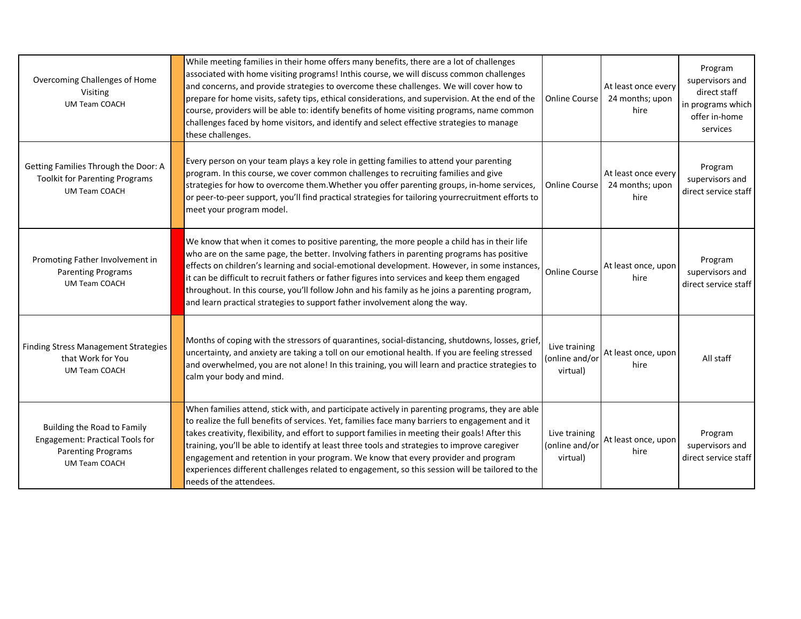| Overcoming Challenges of Home<br>Visiting<br><b>UM Team COACH</b>                                                   | While meeting families in their home offers many benefits, there are a lot of challenges<br>associated with home visiting programs! Inthis course, we will discuss common challenges<br>and concerns, and provide strategies to overcome these challenges. We will cover how to<br>prepare for home visits, safety tips, ethical considerations, and supervision. At the end of the<br>course, providers will be able to: identify benefits of home visiting programs, name common<br>challenges faced by home visitors, and identify and select effective strategies to manage<br>these challenges.                       | Online Course                               | At least once every<br>24 months; upon<br>hire | Program<br>supervisors and<br>direct staff<br>in programs which<br>offer in-home<br>services |
|---------------------------------------------------------------------------------------------------------------------|----------------------------------------------------------------------------------------------------------------------------------------------------------------------------------------------------------------------------------------------------------------------------------------------------------------------------------------------------------------------------------------------------------------------------------------------------------------------------------------------------------------------------------------------------------------------------------------------------------------------------|---------------------------------------------|------------------------------------------------|----------------------------------------------------------------------------------------------|
| Getting Families Through the Door: A<br><b>Toolkit for Parenting Programs</b><br><b>UM Team COACH</b>               | Every person on your team plays a key role in getting families to attend your parenting<br>program. In this course, we cover common challenges to recruiting families and give<br>strategies for how to overcome them. Whether you offer parenting groups, in-home services,<br>or peer-to-peer support, you'll find practical strategies for tailoring yourrecruitment efforts to<br>meet your program model.                                                                                                                                                                                                             | <b>Online Course</b>                        | At least once every<br>24 months; upon<br>hire | Program<br>supervisors and<br>direct service staff                                           |
| Promoting Father Involvement in<br><b>Parenting Programs</b><br><b>UM Team COACH</b>                                | We know that when it comes to positive parenting, the more people a child has in their life<br>who are on the same page, the better. Involving fathers in parenting programs has positive<br>effects on children's learning and social-emotional development. However, in some instances,<br>it can be difficult to recruit fathers or father figures into services and keep them engaged<br>throughout. In this course, you'll follow John and his family as he joins a parenting program,<br>and learn practical strategies to support father involvement along the way.                                                 | <b>Online Course</b>                        | At least once, upon<br>hire                    | Program<br>supervisors and<br>direct service staff                                           |
| <b>Finding Stress Management Strategies</b><br>that Work for You<br><b>UM Team COACH</b>                            | Months of coping with the stressors of quarantines, social-distancing, shutdowns, losses, grief,<br>uncertainty, and anxiety are taking a toll on our emotional health. If you are feeling stressed<br>and overwhelmed, you are not alone! In this training, you will learn and practice strategies to<br>calm your body and mind.                                                                                                                                                                                                                                                                                         | Live training<br>(online and/or<br>virtual) | At least once, upon<br>hire                    | All staff                                                                                    |
| Building the Road to Family<br>Engagement: Practical Tools for<br><b>Parenting Programs</b><br><b>UM Team COACH</b> | When families attend, stick with, and participate actively in parenting programs, they are able<br>to realize the full benefits of services. Yet, families face many barriers to engagement and it<br>takes creativity, flexibility, and effort to support families in meeting their goals! After this<br>training, you'll be able to identify at least three tools and strategies to improve caregiver<br>engagement and retention in your program. We know that every provider and program<br>experiences different challenges related to engagement, so this session will be tailored to the<br>needs of the attendees. | Live training<br>(online and/or<br>virtual) | At least once, upon<br>hire                    | Program<br>supervisors and<br>direct service staff                                           |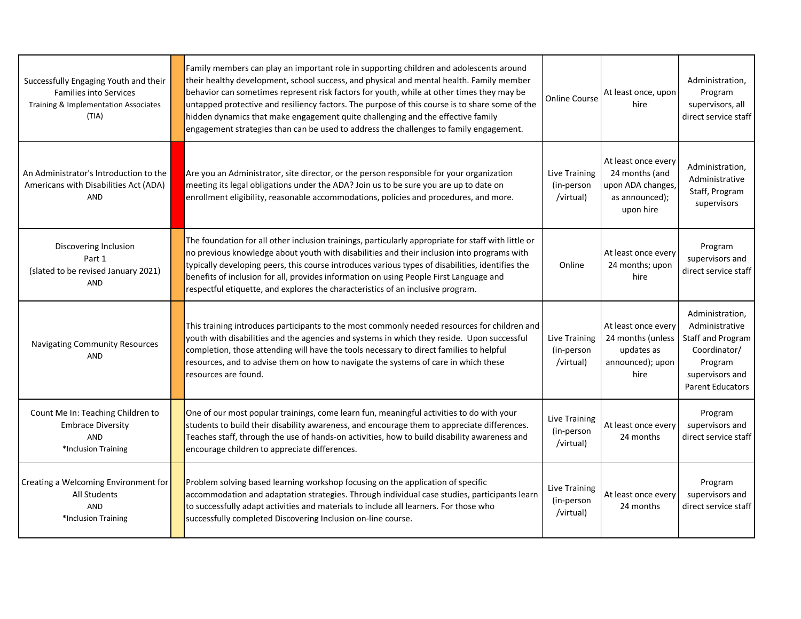| Successfully Engaging Youth and their<br><b>Families into Services</b><br>Training & Implementation Associates<br>(TIA) | Family members can play an important role in supporting children and adolescents around<br>their healthy development, school success, and physical and mental health. Family member<br>behavior can sometimes represent risk factors for youth, while at other times they may be<br>untapped protective and resiliency factors. The purpose of this course is to share some of the<br>hidden dynamics that make engagement quite challenging and the effective family<br>engagement strategies than can be used to address the challenges to family engagement. | <b>Online Course</b>                     | At least once, upon<br>hire                                                               | Administration,<br>Program<br>supervisors, all<br>direct service staff                                                          |
|-------------------------------------------------------------------------------------------------------------------------|-----------------------------------------------------------------------------------------------------------------------------------------------------------------------------------------------------------------------------------------------------------------------------------------------------------------------------------------------------------------------------------------------------------------------------------------------------------------------------------------------------------------------------------------------------------------|------------------------------------------|-------------------------------------------------------------------------------------------|---------------------------------------------------------------------------------------------------------------------------------|
| An Administrator's Introduction to the<br>Americans with Disabilities Act (ADA)<br>AND                                  | Are you an Administrator, site director, or the person responsible for your organization<br>meeting its legal obligations under the ADA? Join us to be sure you are up to date on<br>enrollment eligibility, reasonable accommodations, policies and procedures, and more.                                                                                                                                                                                                                                                                                      | Live Training<br>(in-person<br>/virtual) | At least once every<br>24 months (and<br>upon ADA changes,<br>as announced);<br>upon hire | Administration,<br>Administrative<br>Staff, Program<br>supervisors                                                              |
| Discovering Inclusion<br>Part 1<br>(slated to be revised January 2021)<br><b>AND</b>                                    | The foundation for all other inclusion trainings, particularly appropriate for staff with little or<br>no previous knowledge about youth with disabilities and their inclusion into programs with<br>typically developing peers, this course introduces various types of disabilities, identifies the<br>benefits of inclusion for all, provides information on using People First Language and<br>respectful etiquette, and explores the characteristics of an inclusive program.                                                                              | Online                                   | At least once every<br>24 months; upon<br>hire                                            | Program<br>supervisors and<br>direct service staff                                                                              |
| <b>Navigating Community Resources</b><br><b>AND</b>                                                                     | This training introduces participants to the most commonly needed resources for children and<br>youth with disabilities and the agencies and systems in which they reside. Upon successful<br>completion, those attending will have the tools necessary to direct families to helpful<br>resources, and to advise them on how to navigate the systems of care in which these<br>resources are found.                                                                                                                                                            | Live Training<br>(in-person<br>/virtual) | At least once every<br>24 months (unless<br>updates as<br>announced); upon<br>hire        | Administration,<br>Administrative<br>Staff and Program<br>Coordinator/<br>Program<br>supervisors and<br><b>Parent Educators</b> |
| Count Me In: Teaching Children to<br><b>Embrace Diversity</b><br>AND<br>*Inclusion Training                             | One of our most popular trainings, come learn fun, meaningful activities to do with your<br>students to build their disability awareness, and encourage them to appreciate differences.<br>Teaches staff, through the use of hands-on activities, how to build disability awareness and<br>encourage children to appreciate differences.                                                                                                                                                                                                                        | Live Training<br>(in-person<br>/virtual) | At least once every<br>24 months                                                          | Program<br>supervisors and<br>direct service staff                                                                              |
| Creating a Welcoming Environment for<br><b>All Students</b><br><b>AND</b><br>*Inclusion Training                        | Problem solving based learning workshop focusing on the application of specific<br>accommodation and adaptation strategies. Through individual case studies, participants learn<br>to successfully adapt activities and materials to include all learners. For those who<br>successfully completed Discovering Inclusion on-line course.                                                                                                                                                                                                                        | Live Training<br>(in-person<br>/virtual) | At least once every<br>24 months                                                          | Program<br>supervisors and<br>direct service staff                                                                              |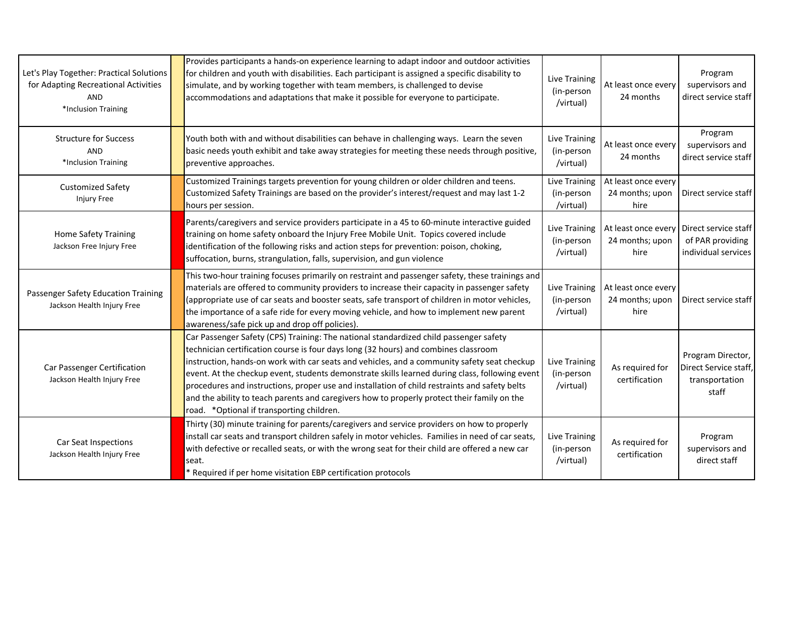| Let's Play Together: Practical Solutions<br>for Adapting Recreational Activities<br><b>AND</b><br>*Inclusion Training | Provides participants a hands-on experience learning to adapt indoor and outdoor activities<br>for children and youth with disabilities. Each participant is assigned a specific disability to<br>simulate, and by working together with team members, is challenged to devise<br>accommodations and adaptations that make it possible for everyone to participate.                                                                                                                                                                                                                                                         | <b>Live Training</b><br>(in-person<br>/virtual) | At least once every<br>24 months               | Program<br>supervisors and<br>direct service staff                    |
|-----------------------------------------------------------------------------------------------------------------------|-----------------------------------------------------------------------------------------------------------------------------------------------------------------------------------------------------------------------------------------------------------------------------------------------------------------------------------------------------------------------------------------------------------------------------------------------------------------------------------------------------------------------------------------------------------------------------------------------------------------------------|-------------------------------------------------|------------------------------------------------|-----------------------------------------------------------------------|
| <b>Structure for Success</b><br>AND<br>*Inclusion Training                                                            | Youth both with and without disabilities can behave in challenging ways. Learn the seven<br>basic needs youth exhibit and take away strategies for meeting these needs through positive,<br>preventive approaches.                                                                                                                                                                                                                                                                                                                                                                                                          | Live Training<br>(in-person<br>/virtual)        | At least once every<br>24 months               | Program<br>supervisors and<br>direct service staff                    |
| <b>Customized Safety</b><br><b>Injury Free</b>                                                                        | Customized Trainings targets prevention for young children or older children and teens.<br>Customized Safety Trainings are based on the provider's interest/request and may last 1-2<br>hours per session.                                                                                                                                                                                                                                                                                                                                                                                                                  | Live Training<br>(in-person<br>/virtual)        | At least once every<br>24 months; upon<br>hire | Direct service staff                                                  |
| <b>Home Safety Training</b><br>Jackson Free Injury Free                                                               | Parents/caregivers and service providers participate in a 45 to 60-minute interactive guided<br>training on home safety onboard the Injury Free Mobile Unit. Topics covered include<br>identification of the following risks and action steps for prevention: poison, choking,<br>suffocation, burns, strangulation, falls, supervision, and gun violence                                                                                                                                                                                                                                                                   | <b>Live Training</b><br>(in-person<br>/virtual) | At least once every<br>24 months; upon<br>hire | Direct service staff<br>of PAR providing<br>individual services       |
| Passenger Safety Education Training<br>Jackson Health Injury Free                                                     | This two-hour training focuses primarily on restraint and passenger safety, these trainings and<br>materials are offered to community providers to increase their capacity in passenger safety<br>(appropriate use of car seats and booster seats, safe transport of children in motor vehicles,<br>the importance of a safe ride for every moving vehicle, and how to implement new parent<br>awareness/safe pick up and drop off policies).                                                                                                                                                                               | Live Training<br>(in-person<br>/virtual)        | At least once every<br>24 months; upon<br>hire | Direct service staff                                                  |
| Car Passenger Certification<br>Jackson Health Injury Free                                                             | Car Passenger Safety (CPS) Training: The national standardized child passenger safety<br>technician certification course is four days long (32 hours) and combines classroom<br>instruction, hands-on work with car seats and vehicles, and a community safety seat checkup<br>event. At the checkup event, students demonstrate skills learned during class, following event<br>procedures and instructions, proper use and installation of child restraints and safety belts<br>and the ability to teach parents and caregivers how to properly protect their family on the<br>road. * Optional if transporting children. | Live Training<br>(in-person<br>/virtual)        | As required for<br>certification               | Program Director,<br>Direct Service staff,<br>transportation<br>staff |
| Car Seat Inspections<br>Jackson Health Injury Free                                                                    | Thirty (30) minute training for parents/caregivers and service providers on how to properly<br>install car seats and transport children safely in motor vehicles. Families in need of car seats,<br>with defective or recalled seats, or with the wrong seat for their child are offered a new car<br>seat.<br>Required if per home visitation EBP certification protocols                                                                                                                                                                                                                                                  | <b>Live Training</b><br>(in-person<br>/virtual) | As required for<br>certification               | Program<br>supervisors and<br>direct staff                            |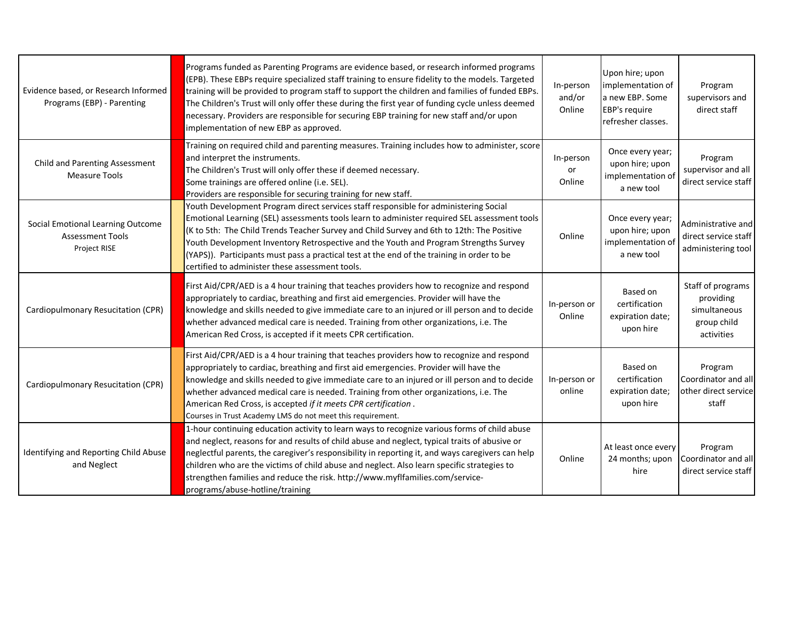| Evidence based, or Research Informed<br>Programs (EBP) - Parenting           | Programs funded as Parenting Programs are evidence based, or research informed programs<br>(EPB). These EBPs require specialized staff training to ensure fidelity to the models. Targeted<br>training will be provided to program staff to support the children and families of funded EBPs.<br>The Children's Trust will only offer these during the first year of funding cycle unless deemed<br>necessary. Providers are responsible for securing EBP training for new staff and/or upon<br>implementation of new EBP as approved. | In-person<br>and/or<br>Online | Upon hire; upon<br>implementation of<br>a new EBP. Some<br><b>EBP's require</b><br>refresher classes. | Program<br>supervisors and<br>direct staff                                  |
|------------------------------------------------------------------------------|----------------------------------------------------------------------------------------------------------------------------------------------------------------------------------------------------------------------------------------------------------------------------------------------------------------------------------------------------------------------------------------------------------------------------------------------------------------------------------------------------------------------------------------|-------------------------------|-------------------------------------------------------------------------------------------------------|-----------------------------------------------------------------------------|
| <b>Child and Parenting Assessment</b><br>Measure Tools                       | Training on required child and parenting measures. Training includes how to administer, score<br>and interpret the instruments.<br>The Children's Trust will only offer these if deemed necessary.<br>Some trainings are offered online (i.e. SEL).<br>Providers are responsible for securing training for new staff.                                                                                                                                                                                                                  | In-person<br>or<br>Online     | Once every year;<br>upon hire; upon<br>implementation of<br>a new tool                                | Program<br>supervisor and all<br>direct service staff                       |
| Social Emotional Learning Outcome<br><b>Assessment Tools</b><br>Project RISE | Youth Development Program direct services staff responsible for administering Social<br>Emotional Learning (SEL) assessments tools learn to administer required SEL assessment tools<br>(K to 5th: The Child Trends Teacher Survey and Child Survey and 6th to 12th: The Positive<br>Youth Development Inventory Retrospective and the Youth and Program Strengths Survey<br>(YAPS)). Participants must pass a practical test at the end of the training in order to be<br>certified to administer these assessment tools.             | Online                        | Once every year;<br>upon hire; upon<br>implementation of<br>a new tool                                | Administrative and<br>direct service staff<br>administering tool            |
| Cardiopulmonary Resucitation (CPR)                                           | First Aid/CPR/AED is a 4 hour training that teaches providers how to recognize and respond<br>appropriately to cardiac, breathing and first aid emergencies. Provider will have the<br>knowledge and skills needed to give immediate care to an injured or ill person and to decide<br>whether advanced medical care is needed. Training from other organizations, i.e. The<br>American Red Cross, is accepted if it meets CPR certification.                                                                                          | In-person or<br>Online        | Based on<br>certification<br>expiration date;<br>upon hire                                            | Staff of programs<br>providing<br>simultaneous<br>group child<br>activities |
| Cardiopulmonary Resucitation (CPR)                                           | First Aid/CPR/AED is a 4 hour training that teaches providers how to recognize and respond<br>appropriately to cardiac, breathing and first aid emergencies. Provider will have the<br>knowledge and skills needed to give immediate care to an injured or ill person and to decide<br>whether advanced medical care is needed. Training from other organizations, i.e. The<br>American Red Cross, is accepted if it meets CPR certification.<br>Courses in Trust Academy LMS do not meet this requirement.                            | In-person or<br>online        | Based on<br>certification<br>expiration date<br>upon hire                                             | Program<br>Coordinator and all<br>other direct service<br>staff             |
| Identifying and Reporting Child Abuse<br>and Neglect                         | 1-hour continuing education activity to learn ways to recognize various forms of child abuse<br>and neglect, reasons for and results of child abuse and neglect, typical traits of abusive or<br>neglectful parents, the caregiver's responsibility in reporting it, and ways caregivers can help<br>children who are the victims of child abuse and neglect. Also learn specific strategies to<br>strengthen families and reduce the risk. http://www.myflfamilies.com/service-<br>programs/abuse-hotline/training                    | Online                        | At least once every<br>24 months; upon<br>hire                                                        | Program<br>Coordinator and all<br>direct service staff                      |